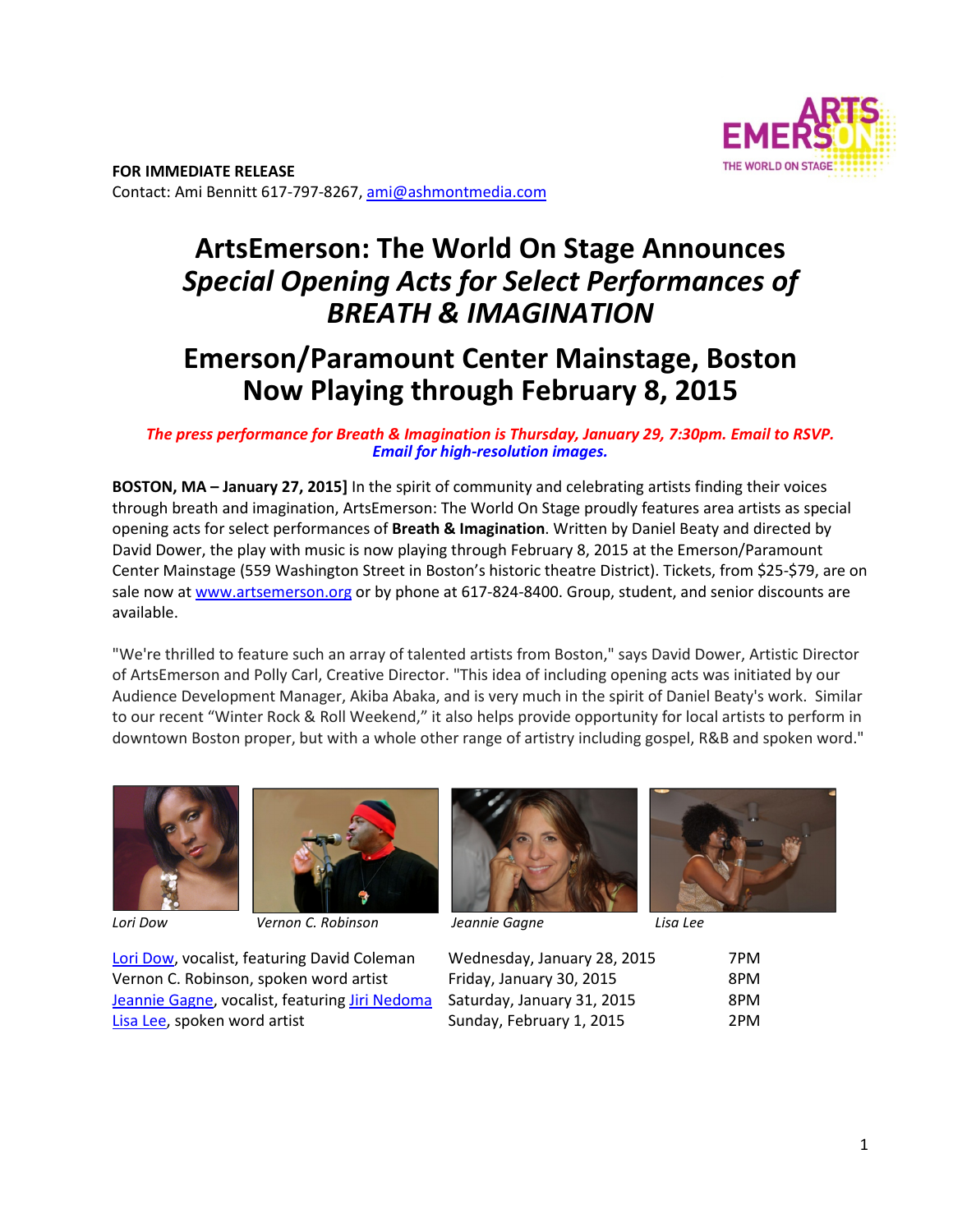

# **ArtsEmerson: The World On Stage Announces**  *Special Opening Acts for Select Performances of BREATH & IMAGINATION*

## **Emerson/Paramount Center Mainstage, Boston Now Playing through February 8, 2015**

### *The press performance for Breath & Imagination is Thursday, January 29, 7:30pm. Email to RSVP. Email for high-resolution images.*

**BOSTON, MA – January 27, 2015]** In the spirit of community and celebrating artists finding their voices through breath and imagination, ArtsEmerson: The World On Stage proudly features area artists as special opening acts for select performances of **Breath & Imagination**. Written by Daniel Beaty and directed by David Dower, the play with music is now playing through February 8, 2015 at the Emerson/Paramount Center Mainstage (559 Washington Street in Boston's historic theatre District). Tickets, from \$25‐\$79, are on sale now at www.artsemerson.org or by phone at 617-824-8400. Group, student, and senior discounts are available.

"We're thrilled to feature such an array of talented artists from Boston," says David Dower, Artistic Director of ArtsEmerson and Polly Carl, Creative Director. "This idea of including opening acts was initiated by our Audience Development Manager, Akiba Abaka, and is very much in the spirit of Daniel Beaty's work. Similar to our recent "Winter Rock & Roll Weekend," it also helps provide opportunity for local artists to perform in downtown Boston proper, but with a whole other range of artistry including gospel, R&B and spoken word."





*Lori Dow Vernon C. Robinson Jeannie Gagne Lisa Lee* 





| Wednesday, January 28, 2015 | 7PM |
|-----------------------------|-----|
| Friday, January 30, 2015    | 8PM |
| Saturday, January 31, 2015  | 8PM |
| Sunday, February 1, 2015    | 2PM |
|                             |     |

Lori Dow, vocalist, featuring David Coleman Vernon C. Robinson, spoken word artist Jeannie Gagne, vocalist, featuring Jiri Nedoma Lisa Lee, spoken word artist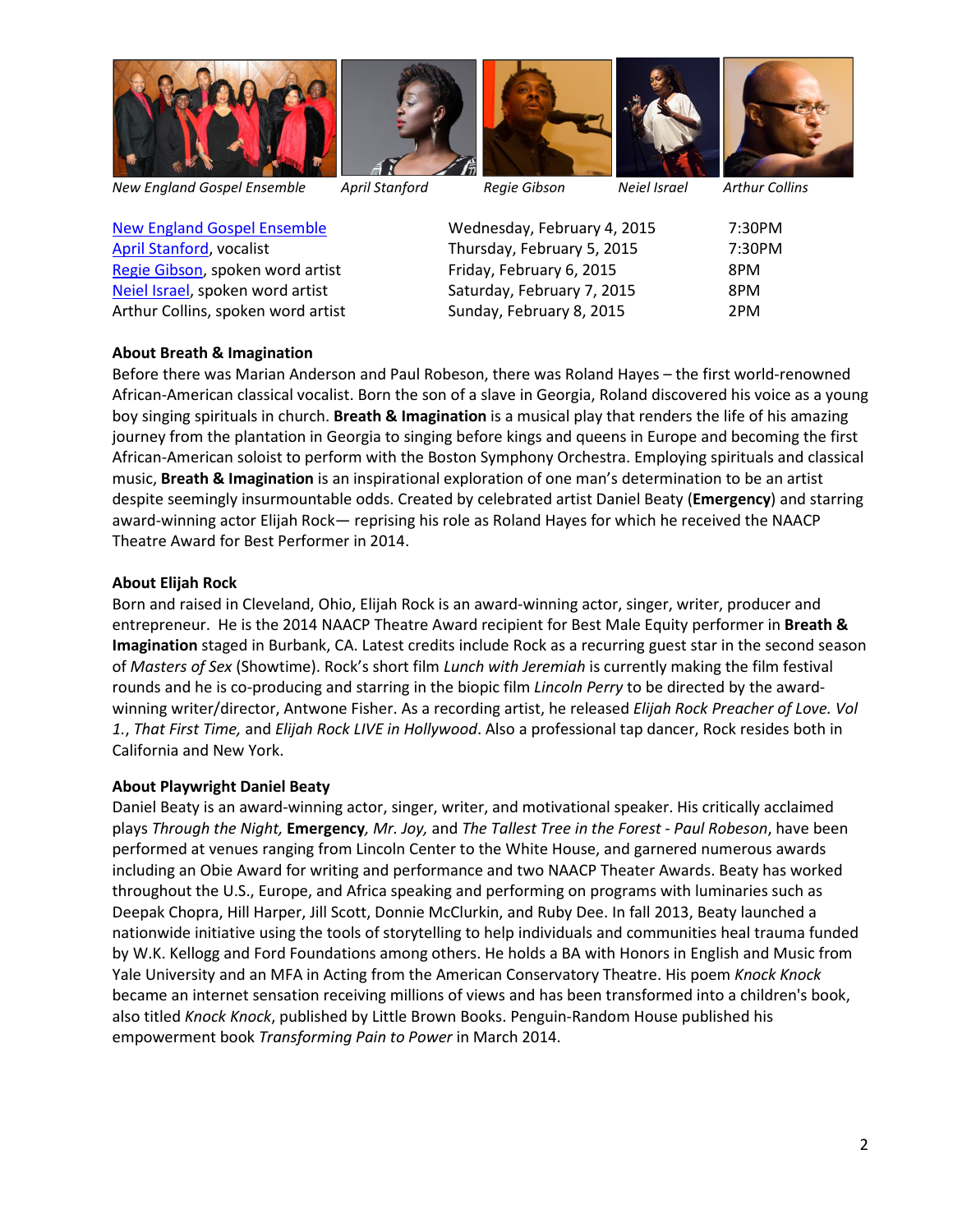

*New England Gospel Ensemble April Stanford Regie Gibson Neiel Israel Arthur Collins* 

New England Gospel Ensemble Wednesday, February 4, 2015 7:30PM April Stanford, vocalist Thursday, February 5, 2015 7:30PM Regie Gibson, spoken word artist Friday, February 6, 2015 8PM Neiel Israel, spoken word artist Saturday, February 7, 2015 8PM Arthur Collins, spoken word artist Sunday, February 8, 2015 2PM

## **About Breath & Imagination**

Before there was Marian Anderson and Paul Robeson, there was Roland Hayes – the first world-renowned African‐American classical vocalist. Born the son of a slave in Georgia, Roland discovered his voice as a young boy singing spirituals in church. **Breath & Imagination** is a musical play that renders the life of his amazing journey from the plantation in Georgia to singing before kings and queens in Europe and becoming the first African‐American soloist to perform with the Boston Symphony Orchestra. Employing spirituals and classical music, **Breath & Imagination** is an inspirational exploration of one man's determination to be an artist despite seemingly insurmountable odds. Created by celebrated artist Daniel Beaty (**Emergency**) and starring award‐winning actor Elijah Rock— reprising his role as Roland Hayes for which he received the NAACP Theatre Award for Best Performer in 2014.

## **About Elijah Rock**

Born and raised in Cleveland, Ohio, Elijah Rock is an award‐winning actor, singer, writer, producer and entrepreneur. He is the 2014 NAACP Theatre Award recipient for Best Male Equity performer in **Breath & Imagination** staged in Burbank, CA. Latest credits include Rock as a recurring guest star in the second season of *Masters of Sex* (Showtime). Rock's short film *Lunch with Jeremiah* is currently making the film festival rounds and he is co‐producing and starring in the biopic film *Lincoln Perry* to be directed by the award‐ winning writer/director, Antwone Fisher. As a recording artist, he released *Elijah Rock Preacher of Love. Vol 1.*, *That First Time,* and *Elijah Rock LIVE in Hollywood*. Also a professional tap dancer, Rock resides both in California and New York.

## **About Playwright Daniel Beaty**

Daniel Beaty is an award‐winning actor, singer, writer, and motivational speaker. His critically acclaimed plays *Through the Night,* **Emergency***, Mr. Joy,* and *The Tallest Tree in the Forest - Paul Robeson*, have been performed at venues ranging from Lincoln Center to the White House, and garnered numerous awards including an Obie Award for writing and performance and two NAACP Theater Awards. Beaty has worked throughout the U.S., Europe, and Africa speaking and performing on programs with luminaries such as Deepak Chopra, Hill Harper, Jill Scott, Donnie McClurkin, and Ruby Dee. In fall 2013, Beaty launched a nationwide initiative using the tools of storytelling to help individuals and communities heal trauma funded by W.K. Kellogg and Ford Foundations among others. He holds a BA with Honors in English and Music from Yale University and an MFA in Acting from the American Conservatory Theatre. His poem *Knock Knock* became an internet sensation receiving millions of views and has been transformed into a children's book, also titled *Knock Knock*, published by Little Brown Books. Penguin‐Random House published his empowerment book *Transforming Pain to Power* in March 2014.